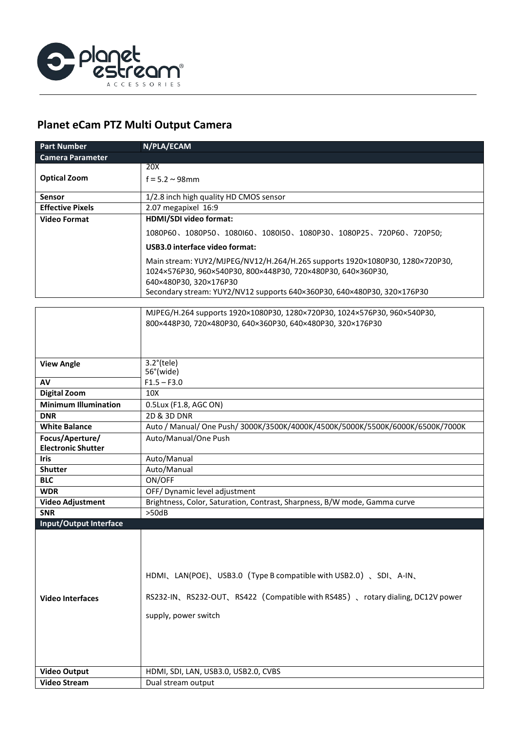

## **Planet eCam PTZ Multi Output Camera**

| <b>Part Number</b>      | N/PLA/ECAM                                                                                                                                                                                                                                        |
|-------------------------|---------------------------------------------------------------------------------------------------------------------------------------------------------------------------------------------------------------------------------------------------|
| <b>Camera Parameter</b> |                                                                                                                                                                                                                                                   |
|                         | 20X                                                                                                                                                                                                                                               |
| <b>Optical Zoom</b>     | $f = 5.2 \sim 98$ mm                                                                                                                                                                                                                              |
| Sensor                  | 1/2.8 inch high quality HD CMOS sensor                                                                                                                                                                                                            |
| <b>Effective Pixels</b> | 2.07 megapixel 16:9                                                                                                                                                                                                                               |
| Video Format            | HDMI/SDI video format:                                                                                                                                                                                                                            |
|                         | 1080P60、1080P50、1080I60、1080I50、1080P30、1080P25、720P60、720P50;                                                                                                                                                                                    |
|                         | USB3.0 interface video format:                                                                                                                                                                                                                    |
|                         | Main stream: YUY2/MJPEG/NV12/H.264/H.265 supports 1920×1080P30, 1280×720P30,<br>1024×576P30, 960×540P30, 800×448P30, 720×480P30, 640×360P30,<br>640×480P30, 320×176P30<br>Secondary stream: YUY2/NV12 supports 640×360P30, 640×480P30, 320×176P30 |

|                               | MJPEG/H.264 supports 1920×1080P30, 1280×720P30, 1024×576P30, 960×540P30,       |
|-------------------------------|--------------------------------------------------------------------------------|
|                               | 800×448P30, 720×480P30, 640×360P30, 640×480P30, 320×176P30                     |
|                               |                                                                                |
|                               |                                                                                |
|                               | $3.2^{\circ}$ (tele)                                                           |
| <b>View Angle</b>             | 56°(wide)                                                                      |
| AV                            | $F1.5 - F3.0$                                                                  |
| <b>Digital Zoom</b>           | 10X                                                                            |
| <b>Minimum Illumination</b>   | 0.5Lux (F1.8, AGC ON)                                                          |
| <b>DNR</b>                    | $\overline{2D}$ & 3D DNR                                                       |
| <b>White Balance</b>          | Auto / Manual/ One Push/ 3000K/3500K/4000K/4500K/5000K/5500K/6000K/6500K/7000K |
| Focus/Aperture/               | Auto/Manual/One Push                                                           |
| <b>Electronic Shutter</b>     |                                                                                |
| <b>Iris</b>                   | Auto/Manual                                                                    |
| <b>Shutter</b>                | Auto/Manual                                                                    |
| <b>BLC</b>                    | ON/OFF                                                                         |
| <b>WDR</b>                    | OFF/ Dynamic level adjustment                                                  |
| Video Adjustment              | Brightness, Color, Saturation, Contrast, Sharpness, B/W mode, Gamma curve      |
| <b>SNR</b>                    | >50dB                                                                          |
| <b>Input/Output Interface</b> |                                                                                |
|                               |                                                                                |
|                               |                                                                                |
|                               |                                                                                |
|                               | HDMI、LAN(POE)、USB3.0 (Type B compatible with USB2.0)、SDI、A-IN、                 |
|                               |                                                                                |
| <b>Video Interfaces</b>       | RS232-IN、RS232-OUT、RS422 (Compatible with RS485)、rotary dialing, DC12V power   |
|                               |                                                                                |
|                               | supply, power switch                                                           |
|                               |                                                                                |
|                               |                                                                                |
|                               |                                                                                |
|                               |                                                                                |
| <b>Video Output</b>           | HDMI, SDI, LAN, USB3.0, USB2.0, CVBS                                           |
| <b>Video Stream</b>           | Dual stream output                                                             |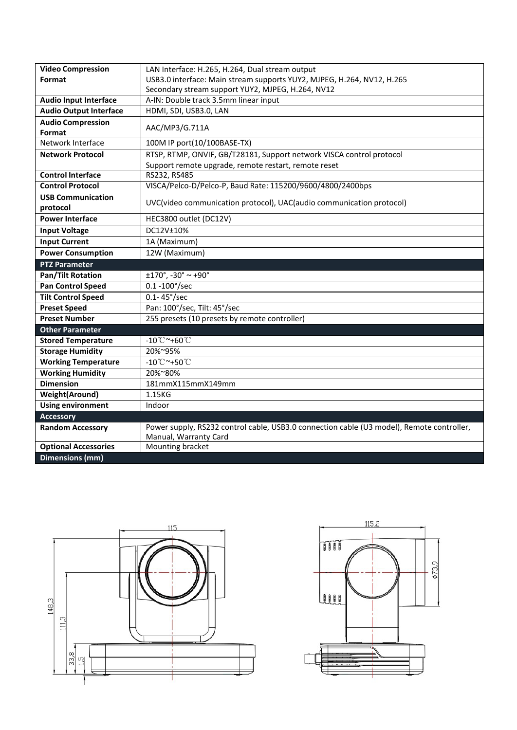| <b>Video Compression</b>             | LAN Interface: H.265, H.264, Dual stream output                                           |
|--------------------------------------|-------------------------------------------------------------------------------------------|
| Format                               | USB3.0 interface: Main stream supports YUY2, MJPEG, H.264, NV12, H.265                    |
|                                      | Secondary stream support YUY2, MJPEG, H.264, NV12                                         |
| <b>Audio Input Interface</b>         | A-IN: Double track 3.5mm linear input                                                     |
| <b>Audio Output Interface</b>        | HDMI, SDI, USB3.0, LAN                                                                    |
| <b>Audio Compression</b>             | AAC/MP3/G.711A                                                                            |
| <b>Format</b>                        |                                                                                           |
| Network Interface                    | 100M IP port(10/100BASE-TX)                                                               |
| <b>Network Protocol</b>              | RTSP, RTMP, ONVIF, GB/T28181, Support network VISCA control protocol                      |
|                                      | Support remote upgrade, remote restart, remote reset                                      |
| <b>Control Interface</b>             | RS232, RS485                                                                              |
| <b>Control Protocol</b>              | VISCA/Pelco-D/Pelco-P, Baud Rate: 115200/9600/4800/2400bps                                |
| <b>USB Communication</b><br>protocol | UVC(video communication protocol), UAC(audio communication protocol)                      |
| <b>Power Interface</b>               | HEC3800 outlet (DC12V)                                                                    |
| <b>Input Voltage</b>                 | DC12V±10%                                                                                 |
| <b>Input Current</b>                 | 1A (Maximum)                                                                              |
| <b>Power Consumption</b>             | 12W (Maximum)                                                                             |
| <b>PTZ Parameter</b>                 |                                                                                           |
| <b>Pan/Tilt Rotation</b>             | $±170^\circ$ , -30 $^\circ$ ~ +90 $^\circ$                                                |
| <b>Pan Control Speed</b>             | $0.1 - 100^{\circ}/sec$                                                                   |
| <b>Tilt Control Speed</b>            | $0.1 - 45^{\circ}/sec$                                                                    |
| <b>Preset Speed</b>                  | Pan: 100°/sec, Tilt: 45°/sec                                                              |
| <b>Preset Number</b>                 | 255 presets (10 presets by remote controller)                                             |
| <b>Other Parameter</b>               |                                                                                           |
| <b>Stored Temperature</b>            | $-10^{\circ}$ C ~+60 $^{\circ}$ C                                                         |
| <b>Storage Humidity</b>              | 20%~95%                                                                                   |
| <b>Working Temperature</b>           | $-10^{\circ}$ C ~+50 $^{\circ}$ C                                                         |
| <b>Working Humidity</b>              | 20%~80%                                                                                   |
| <b>Dimension</b>                     | 181mmX115mmX149mm                                                                         |
| <b>Weight(Around)</b>                | 1.15KG                                                                                    |
| <b>Using environment</b>             | Indoor                                                                                    |
| <b>Accessory</b>                     |                                                                                           |
| <b>Random Accessory</b>              | Power supply, RS232 control cable, USB3.0 connection cable (U3 model), Remote controller, |
|                                      | Manual, Warranty Card                                                                     |
| <b>Optional Accessories</b>          | Mounting bracket                                                                          |
| <b>Dimensions (mm)</b>               |                                                                                           |